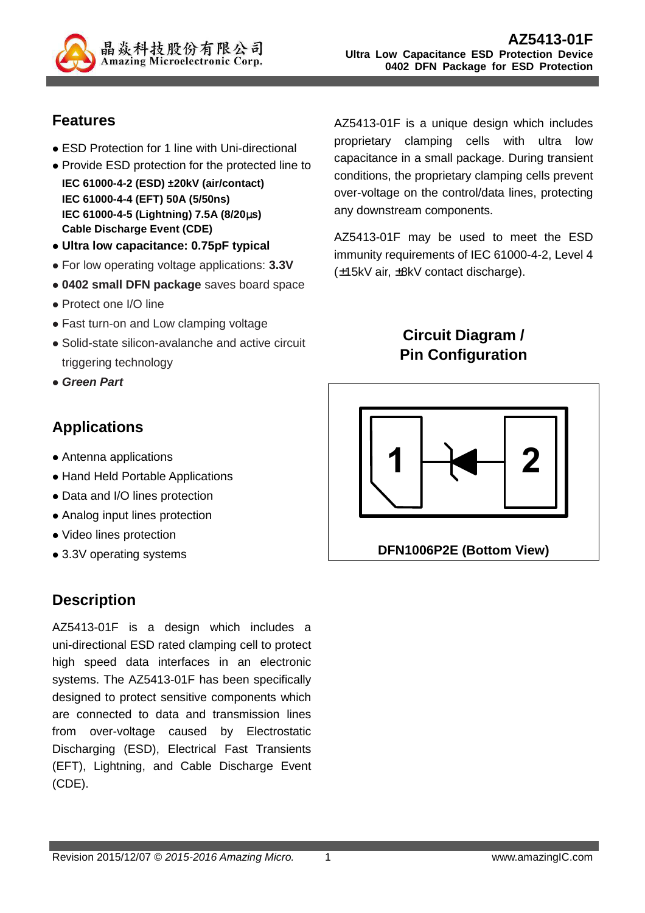

# **Features**

- ESD Protection for 1 line with Uni-directional
- Provide ESD protection for the protected line to **IEC 61000-4-2 (ESD) ±20kV (air/contact) IEC 61000-4-4 (EFT) 50A (5/50ns) IEC 61000-4-5 (Lightning) 7.5A (8/20**µ**s) Cable Discharge Event (CDE)**
- **Ultra low capacitance: 0.75pF typical**
- For low operating voltage applications: **3.3V**
- **0402 small DFN package** saves board space
- Protect one I/O line
- Fast turn-on and Low clamping voltage
- Solid-state silicon-avalanche and active circuit triggering technology
- **Green Part**

# **Applications**

- Antenna applications
- Hand Held Portable Applications
- Data and I/O lines protection
- Analog input lines protection
- Video lines protection
- 3.3V operating systems

# **Description**

AZ5413-01F is a design which includes a uni-directional ESD rated clamping cell to protect high speed data interfaces in an electronic systems. The AZ5413-01F has been specifically designed to protect sensitive components which are connected to data and transmission lines from over-voltage caused by Electrostatic Discharging (ESD), Electrical Fast Transients (EFT), Lightning, and Cable Discharge Event (CDE).

AZ5413-01F is a unique design which includes proprietary clamping cells with ultra low capacitance in a small package. During transient conditions, the proprietary clamping cells prevent over-voltage on the control/data lines, protecting any downstream components.

AZ5413-01F may be used to meet the ESD immunity requirements of IEC 61000-4-2, Level 4 (±15kV air, ±8kV contact discharge).

> **Circuit Diagram / Pin Configuration**

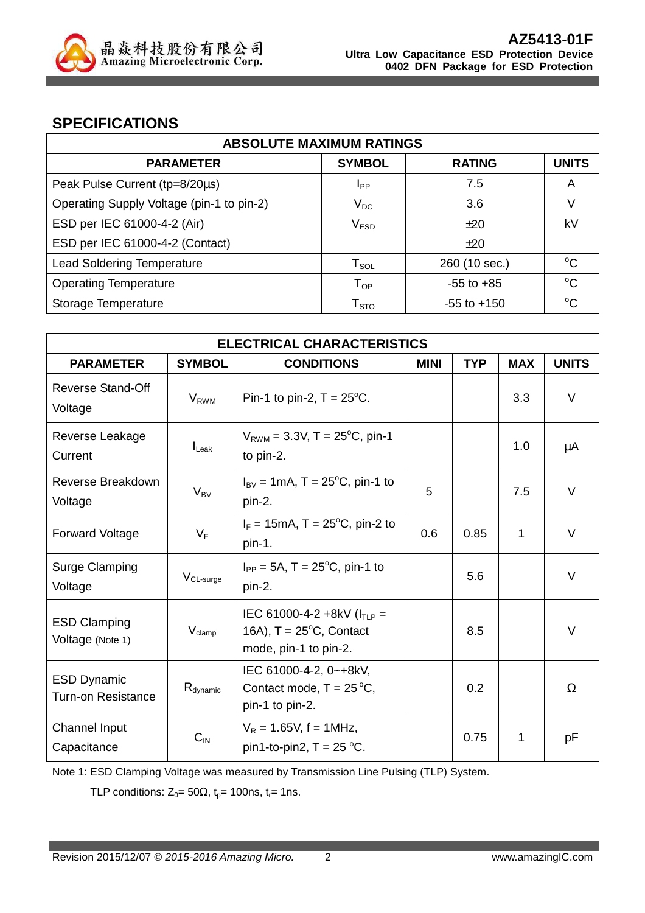

### **SPECIFICATIONS**

| <b>ABSOLUTE MAXIMUM RATINGS</b>           |                            |                 |              |  |
|-------------------------------------------|----------------------------|-----------------|--------------|--|
| <b>PARAMETER</b>                          | <b>SYMBOL</b>              | <b>RATING</b>   | <b>UNITS</b> |  |
| Peak Pulse Current (tp=8/20µs)            | <b>I</b> pp                | 7.5             | A            |  |
| Operating Supply Voltage (pin-1 to pin-2) | $V_{DC}$                   | 3.6             |              |  |
| ESD per IEC 61000-4-2 (Air)               | V <sub>ESD</sub>           | ±20             | kV           |  |
| ESD per IEC 61000-4-2 (Contact)           |                            | ±20             |              |  |
| <b>Lead Soldering Temperature</b>         | $T_{\texttt{SOL}}$         | 260 (10 sec.)   | $\rm ^{o}C$  |  |
| <b>Operating Temperature</b>              | $T_{OP}$                   | $-55$ to $+85$  | $^{\circ}C$  |  |
| Storage Temperature                       | ${\mathsf T}_{\text{STO}}$ | $-55$ to $+150$ | $\rm ^{o}C$  |  |

| <b>ELECTRICAL CHARACTERISTICS</b>               |                         |                                                                                                |                           |      |            |              |
|-------------------------------------------------|-------------------------|------------------------------------------------------------------------------------------------|---------------------------|------|------------|--------------|
| <b>PARAMETER</b>                                | <b>SYMBOL</b>           | <b>CONDITIONS</b>                                                                              | <b>MINI</b><br><b>TYP</b> |      | <b>MAX</b> | <b>UNITS</b> |
| <b>Reverse Stand-Off</b><br>Voltage             | <b>V</b> <sub>RWM</sub> | Pin-1 to pin-2, $T = 25^{\circ}$ C.                                                            |                           |      | 3.3        | V            |
| Reverse Leakage<br>Current                      | $I_{\text{Leak}}$       | $V_{RWM} = 3.3V$ , T = 25°C, pin-1<br>to pin-2.                                                |                           |      | 1.0        | μA           |
| Reverse Breakdown<br>Voltage                    | $V_{BV}$                | $I_{BV} = 1 \text{mA}, T = 25^{\circ}\text{C}, \text{pin-1 to}$<br>pin-2.                      | 5                         |      | 7.5        | V            |
| <b>Forward Voltage</b>                          | $V_F$                   | $I_F = 15 \text{mA}, T = 25^{\circ}\text{C}, \text{pin-2 to}$<br>pin-1.                        | 0.6                       | 0.85 | 1          | $\vee$       |
| <b>Surge Clamping</b><br>Voltage                | $V_{CL-surge}$          | $I_{PP} = 5A$ , T = 25 <sup>o</sup> C, pin-1 to<br>pin-2.                                      |                           | 5.6  |            | $\vee$       |
| <b>ESD Clamping</b><br>Voltage (Note 1)         | $V_{\text{clamp}}$      | IEC 61000-4-2 +8kV ( $I_{TLP}$ =<br>16A), $T = 25^{\circ}C$ , Contact<br>mode, pin-1 to pin-2. |                           | 8.5  |            | $\vee$       |
| <b>ESD Dynamic</b><br><b>Turn-on Resistance</b> | $R_{\text{dynamic}}$    | IEC 61000-4-2, 0~+8kV,<br>Contact mode, $T = 25^{\circ}C$ ,<br>pin-1 to pin-2.                 |                           | 0.2  |            | $\Omega$     |
| Channel Input<br>Capacitance                    | $C_{\text{IN}}$         | $V_R = 1.65V$ , f = 1MHz,<br>pin1-to-pin2, $T = 25$ °C.                                        |                           | 0.75 | 1          | pF           |

Note 1: ESD Clamping Voltage was measured by Transmission Line Pulsing (TLP) System.

TLP conditions:  $Z_0 = 50\Omega$ ,  $t_p = 100$ ns,  $t_r = 1$ ns.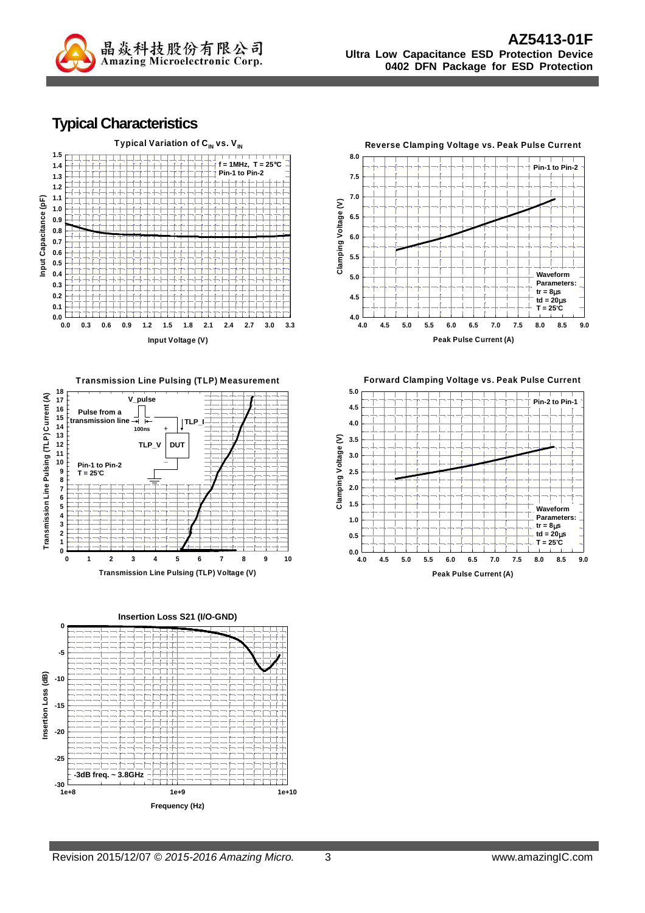

#### **Typical Characteristics**



**Transmission Line Pulsing (TLP) Measurement**







**Peak Pulse Current (A)**

**Forward Clamping Voltage vs. Peak Pulse Current**

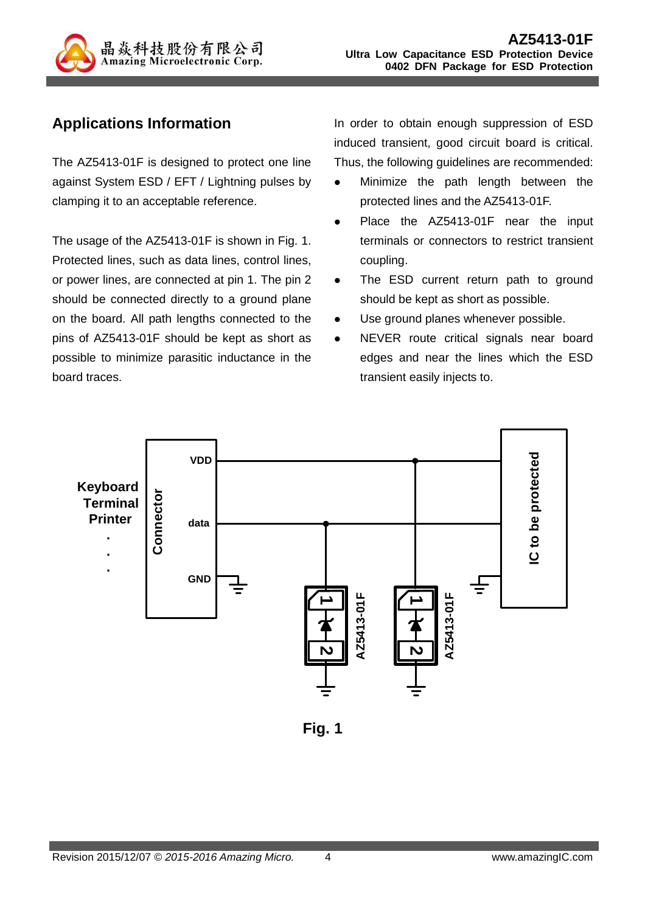

# **Applications Information**

The AZ5413-01F is designed to protect one line against System ESD / EFT / Lightning pulses by clamping it to an acceptable reference.

The usage of the AZ5413-01F is shown in Fig. 1. Protected lines, such as data lines, control lines, or power lines, are connected at pin 1. The pin 2 should be connected directly to a ground plane on the board. All path lengths connected to the pins of AZ5413-01F should be kept as short as possible to minimize parasitic inductance in the board traces.

In order to obtain enough suppression of ESD induced transient, good circuit board is critical. Thus, the following guidelines are recommended:

- Minimize the path length between the protected lines and the AZ5413-01F.
- Place the AZ5413-01F near the input terminals or connectors to restrict transient coupling.
- The ESD current return path to ground should be kept as short as possible.
- Use ground planes whenever possible.
- NEVER route critical signals near board edges and near the lines which the ESD transient easily injects to.



**Fig. 1**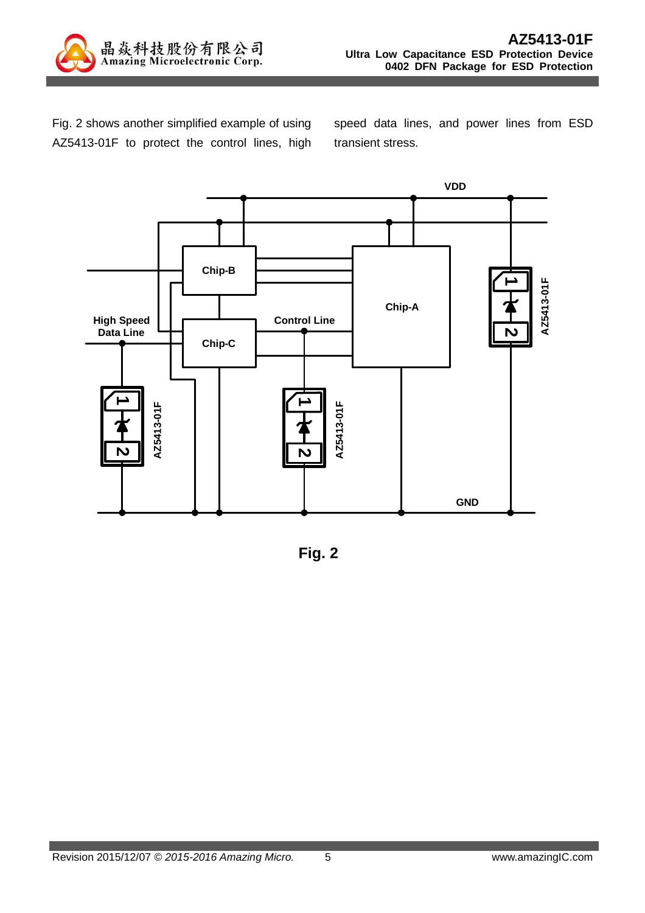

Fig. 2 shows another simplified example of using AZ5413-01F to protect the control lines, high speed data lines, and power lines from ESD transient stress.



**Fig. 2**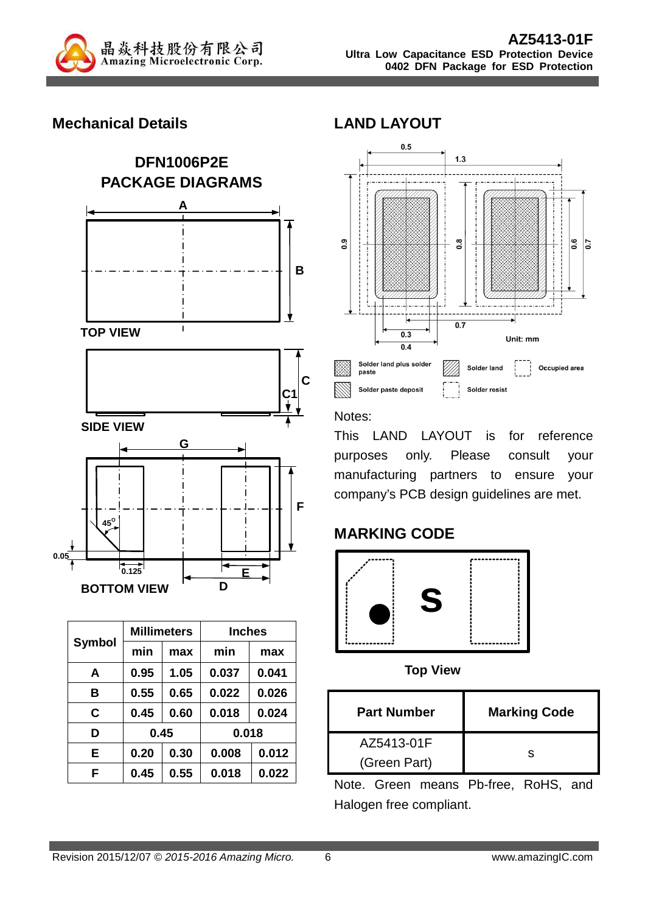

## **Mechanical Details**



|               |      | <b>Millimeters</b> | <b>Inches</b> |       |  |
|---------------|------|--------------------|---------------|-------|--|
| <b>Symbol</b> | min  | max                | min           | max   |  |
| A             | 0.95 | 1.05               | 0.037         | 0.041 |  |
| в             | 0.55 | 0.65               | 0.022         | 0.026 |  |
| C             | 0.45 | 0.60               | 0.018         | 0.024 |  |
| D             | 0.45 |                    | 0.018         |       |  |
| E             | 0.20 | 0.30               | 0.008         | 0.012 |  |
| F             | 0.45 | 0.55               | 0.018         | 0.022 |  |

## **LAND LAYOUT**



#### Notes:

This LAND LAYOUT is for reference purposes only. Please consult your manufacturing partners to ensure your company's PCB design guidelines are met.

# **MARKING CODE**



**Top View** 

| <b>Part Number</b> | <b>Marking Code</b> |  |  |
|--------------------|---------------------|--|--|
| AZ5413-01F         |                     |  |  |
| (Green Part)       |                     |  |  |

Note. Green means Pb-free, RoHS, and Halogen free compliant.